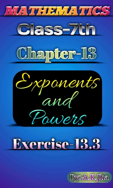







## Exercise-13.3

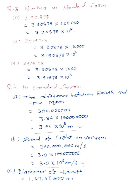Q.3. Numbers in standard form.  $(1V)$  3.90.878  $= 3.30878 \times 1.00.000$  $= 3.90878 \times 10^5$  $N)$  39087.8  $= 3.90878 \times 10,000$  $= 3.90878 \times 10^{9}$ W1) 3908.78  $= 3.90878 \times 1000$ =  $3.90678 \times 10^{3}$ 8.4 In standard form: (a) The distance between Earth and the Moon.  $= 384.000000$  $= 3.84 \times 100000000$ =  $3.84 \times 10^8$  m. (b) Speed of Lisht in vacuum  $= 300,000,000 \text{ m/s}$  $= 3.0 \times 1000000000$ =  $3.0 \times 10^8$  m/s + (c) Diargeter of East  $= 1.27,56000$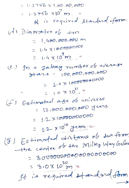$= 1.2756 \times 1,00.00,000$  $1.2756 \times 10^{7}$  m It is required standard form. (d) Diaposeter of sun  $= 1,400,000,000$  $= 1.4$  X1800000000 =  $1.4 \times 10^{3}$ m In a galaxy number of average  $($ e)  $84a28 = 100,000,000,000$  $= 1.0 \times 1000000000000$  $= 1.0 \times 10^{11}$ . Estimated age of universe  $(f)$  $= 12,000,000,000 \text{ years}$  $= 1.2 \times 10000000000$  $= 1.2 - x 10^{10}$  Jeans w (8) Estimated distance of sur from the centre of the Milky Way Galer  $=3000000000000000000000$  $= 3.0 \times 10^{20}$  m v It is required standard form